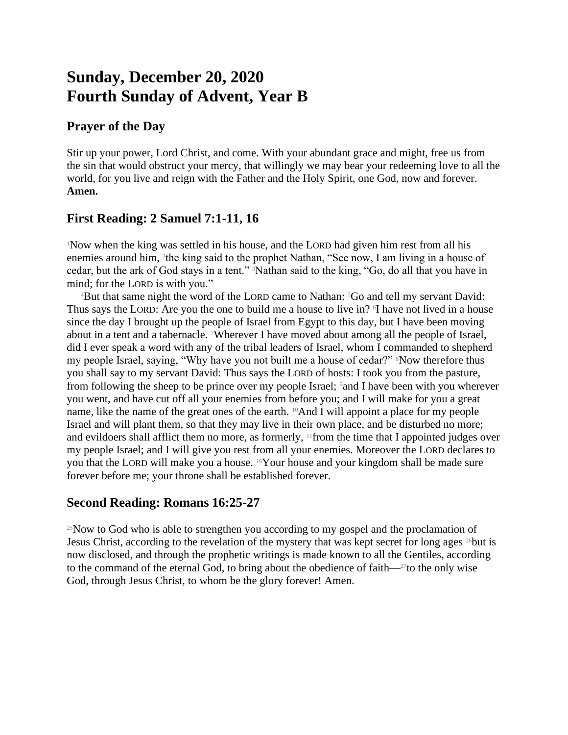# **Sunday, December 20, 2020 Fourth Sunday of Advent, Year B**

## **Prayer of the Day**

Stir up your power, Lord Christ, and come. With your abundant grace and might, free us from the sin that would obstruct your mercy, that willingly we may bear your redeeming love to all the world, for you live and reign with the Father and the Holy Spirit, one God, now and forever. **Amen.**

# **First Reading: 2 Samuel 7:1-11, 16**

<sup>1</sup>Now when the king was settled in his house, and the LORD had given him rest from all his enemies around him, <sup>2</sup>the king said to the prophet Nathan, "See now, I am living in a house of cedar, but the ark of God stays in a tent." 3Nathan said to the king, "Go, do all that you have in mind; for the LORD is with you."

<sup>4</sup>But that same night the word of the LORD came to Nathan: <sup>5</sup>Go and tell my servant David: Thus says the LORD: Are you the one to build me a house to live in? I have not lived in a house since the day I brought up the people of Israel from Egypt to this day, but I have been moving about in a tent and a tabernacle. 7Wherever I have moved about among all the people of Israel, did I ever speak a word with any of the tribal leaders of Israel, whom I commanded to shepherd my people Israel, saying, "Why have you not built me a house of cedar?" 8Now therefore thus you shall say to my servant David: Thus says the LORD of hosts: I took you from the pasture, from following the sheep to be prince over my people Israel; 9and I have been with you wherever you went, and have cut off all your enemies from before you; and I will make for you a great name, like the name of the great ones of the earth. <sup>10</sup>And I will appoint a place for my people Israel and will plant them, so that they may live in their own place, and be disturbed no more; and evildoers shall afflict them no more, as formerly, 11from the time that I appointed judges over my people Israel; and I will give you rest from all your enemies. Moreover the LORD declares to you that the LORD will make you a house. 16Your house and your kingdom shall be made sure forever before me; your throne shall be established forever.

## **Second Reading: Romans 16:25-27**

<sup>25</sup>Now to God who is able to strengthen you according to my gospel and the proclamation of Jesus Christ, according to the revelation of the mystery that was kept secret for long ages  $^{26}$ but is now disclosed, and through the prophetic writings is made known to all the Gentiles, according to the command of the eternal God, to bring about the obedience of faith—27to the only wise God, through Jesus Christ, to whom be the glory forever! Amen.